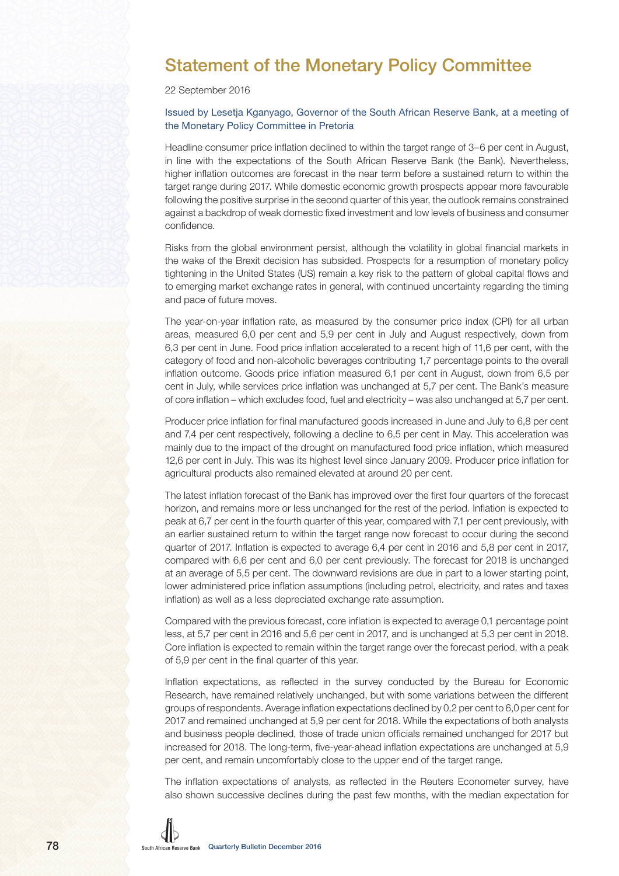## Statement of the Monetary Policy Committee

22 September 2016

### Issued by Lesetja Kganyago, Governor of the South African Reserve Bank, at a meeting of the Monetary Policy Committee in Pretoria

Headline consumer price inflation declined to within the target range of 3–6 per cent in August, in line with the expectations of the South African Reserve Bank (the Bank). Nevertheless, higher inflation outcomes are forecast in the near term before a sustained return to within the target range during 2017. While domestic economic growth prospects appear more favourable following the positive surprise in the second quarter of this year, the outlook remains constrained against a backdrop of weak domestic fixed investment and low levels of business and consumer confidence.

Risks from the global environment persist, although the volatility in global financial markets in the wake of the Brexit decision has subsided. Prospects for a resumption of monetary policy tightening in the United States (US) remain a key risk to the pattern of global capital flows and to emerging market exchange rates in general, with continued uncertainty regarding the timing and pace of future moves.

The year-on-year inflation rate, as measured by the consumer price index (CPI) for all urban areas, measured 6,0 per cent and 5,9 per cent in July and August respectively, down from 6,3 per cent in June. Food price inflation accelerated to a recent high of 11,6 per cent, with the category of food and non-alcoholic beverages contributing 1,7 percentage points to the overall inflation outcome. Goods price inflation measured 6,1 per cent in August, down from 6,5 per cent in July, while services price inflation was unchanged at 5,7 per cent. The Bank's measure of core inflation – which excludes food, fuel and electricity – was also unchanged at 5,7 per cent.

Producer price inflation for final manufactured goods increased in June and July to 6,8 per cent and 7,4 per cent respectively, following a decline to 6,5 per cent in May. This acceleration was mainly due to the impact of the drought on manufactured food price inflation, which measured 12,6 per cent in July. This was its highest level since January 2009. Producer price inflation for agricultural products also remained elevated at around 20 per cent.

The latest inflation forecast of the Bank has improved over the first four quarters of the forecast horizon, and remains more or less unchanged for the rest of the period. Inflation is expected to peak at 6,7 per cent in the fourth quarter of this year, compared with 7,1 per cent previously, with an earlier sustained return to within the target range now forecast to occur during the second quarter of 2017. Inflation is expected to average 6,4 per cent in 2016 and 5,8 per cent in 2017, compared with 6,6 per cent and 6,0 per cent previously. The forecast for 2018 is unchanged at an average of 5,5 per cent. The downward revisions are due in part to a lower starting point, lower administered price inflation assumptions (including petrol, electricity, and rates and taxes inflation) as well as a less depreciated exchange rate assumption.

Compared with the previous forecast, core inflation is expected to average 0,1 percentage point less, at 5,7 per cent in 2016 and 5,6 per cent in 2017, and is unchanged at 5,3 per cent in 2018. Core inflation is expected to remain within the target range over the forecast period, with a peak of 5,9 per cent in the final quarter of this year.

Inflation expectations, as reflected in the survey conducted by the Bureau for Economic Research, have remained relatively unchanged, but with some variations between the different groups of respondents. Average inflation expectations declined by 0,2 per cent to 6,0 per cent for 2017 and remained unchanged at 5,9 per cent for 2018. While the expectations of both analysts and business people declined, those of trade union officials remained unchanged for 2017 but increased for 2018. The long-term, five-year-ahead inflation expectations are unchanged at 5,9 per cent, and remain uncomfortably close to the upper end of the target range.

The inflation expectations of analysts, as reflected in the Reuters Econometer survey, have also shown successive declines during the past few months, with the median expectation for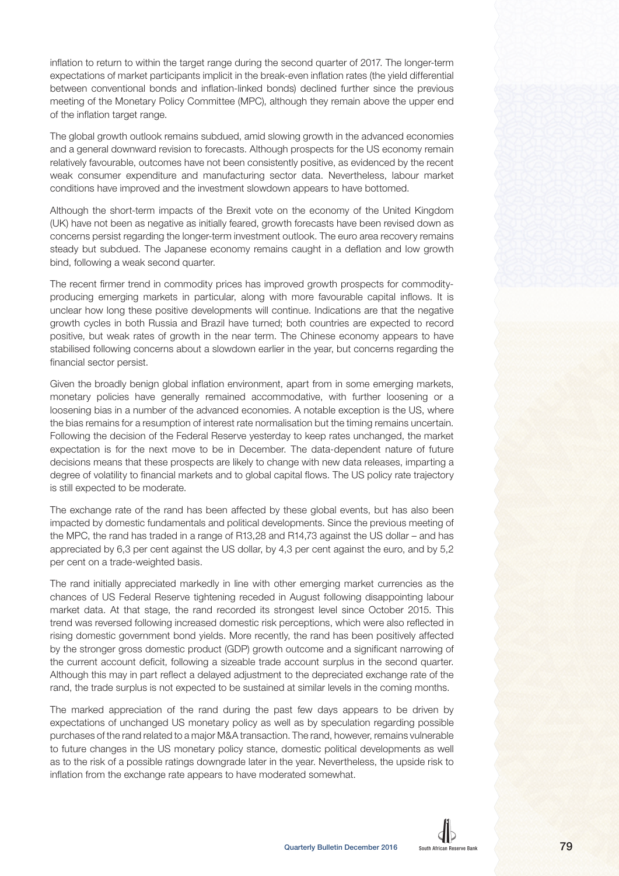inflation to return to within the target range during the second quarter of 2017. The longer-term expectations of market participants implicit in the break-even inflation rates (the yield differential between conventional bonds and inflation-linked bonds) declined further since the previous meeting of the Monetary Policy Committee (MPC), although they remain above the upper end of the inflation target range.

The global growth outlook remains subdued, amid slowing growth in the advanced economies and a general downward revision to forecasts. Although prospects for the US economy remain relatively favourable, outcomes have not been consistently positive, as evidenced by the recent weak consumer expenditure and manufacturing sector data. Nevertheless, labour market conditions have improved and the investment slowdown appears to have bottomed.

Although the short-term impacts of the Brexit vote on the economy of the United Kingdom (UK) have not been as negative as initially feared, growth forecasts have been revised down as concerns persist regarding the longer-term investment outlook. The euro area recovery remains steady but subdued. The Japanese economy remains caught in a deflation and low growth bind, following a weak second quarter.

The recent firmer trend in commodity prices has improved growth prospects for commodityproducing emerging markets in particular, along with more favourable capital inflows. It is unclear how long these positive developments will continue. Indications are that the negative growth cycles in both Russia and Brazil have turned; both countries are expected to record positive, but weak rates of growth in the near term. The Chinese economy appears to have stabilised following concerns about a slowdown earlier in the year, but concerns regarding the financial sector persist.

Given the broadly benign global inflation environment, apart from in some emerging markets, monetary policies have generally remained accommodative, with further loosening or a loosening bias in a number of the advanced economies. A notable exception is the US, where the bias remains for a resumption of interest rate normalisation but the timing remains uncertain. Following the decision of the Federal Reserve yesterday to keep rates unchanged, the market expectation is for the next move to be in December. The data-dependent nature of future decisions means that these prospects are likely to change with new data releases, imparting a degree of volatility to financial markets and to global capital flows. The US policy rate trajectory is still expected to be moderate.

The exchange rate of the rand has been affected by these global events, but has also been impacted by domestic fundamentals and political developments. Since the previous meeting of the MPC, the rand has traded in a range of R13,28 and R14,73 against the US dollar – and has appreciated by 6,3 per cent against the US dollar, by 4,3 per cent against the euro, and by 5,2 per cent on a trade-weighted basis.

The rand initially appreciated markedly in line with other emerging market currencies as the chances of US Federal Reserve tightening receded in August following disappointing labour market data. At that stage, the rand recorded its strongest level since October 2015. This trend was reversed following increased domestic risk perceptions, which were also reflected in rising domestic government bond yields. More recently, the rand has been positively affected by the stronger gross domestic product (GDP) growth outcome and a significant narrowing of the current account deficit, following a sizeable trade account surplus in the second quarter. Although this may in part reflect a delayed adjustment to the depreciated exchange rate of the rand, the trade surplus is not expected to be sustained at similar levels in the coming months.

The marked appreciation of the rand during the past few days appears to be driven by expectations of unchanged US monetary policy as well as by speculation regarding possible purchases of the rand related to a major M&A transaction. The rand, however, remains vulnerable to future changes in the US monetary policy stance, domestic political developments as well as to the risk of a possible ratings downgrade later in the year. Nevertheless, the upside risk to inflation from the exchange rate appears to have moderated somewhat.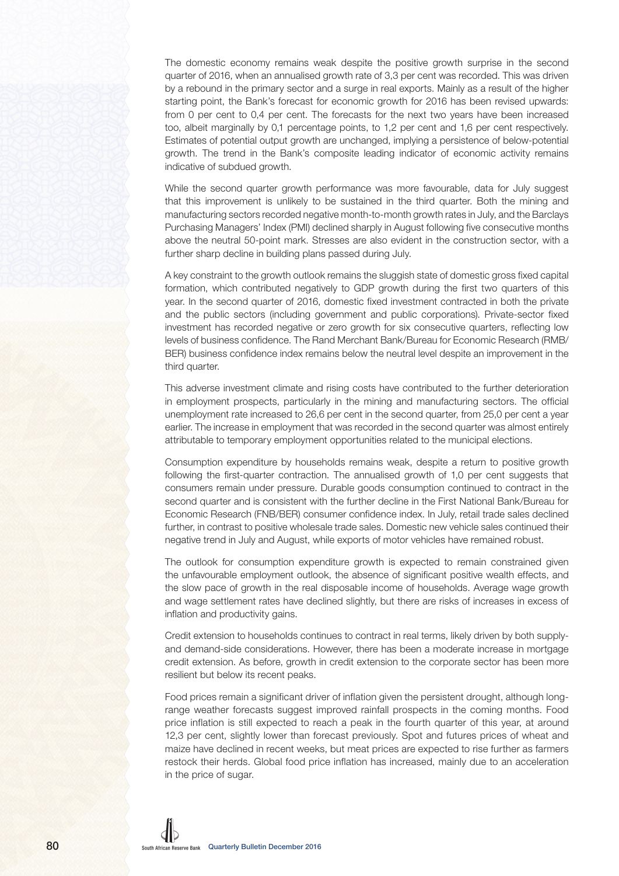The domestic economy remains weak despite the positive growth surprise in the second quarter of 2016, when an annualised growth rate of 3.3 per cent was recorded. This was driven by a rebound in the primary sector and a surge in real exports. Mainly as a result of the higher starting point, the Bank's forecast for economic growth for 2016 has been revised upwards: from 0 per cent to 0,4 per cent. The forecasts for the next two years have been increased too, albeit marginally by 0,1 percentage points, to 1,2 per cent and 1,6 per cent respectively. Estimates of potential output growth are unchanged, implying a persistence of below-potential growth. The trend in the Bank's composite leading indicator of economic activity remains indicative of subdued growth.

While the second quarter growth performance was more favourable, data for July suggest that this improvement is unlikely to be sustained in the third quarter. Both the mining and manufacturing sectors recorded negative month-to-month growth rates in July, and the Barclays Purchasing Managers' Index (PMI) declined sharply in August following five consecutive months above the neutral 50-point mark. Stresses are also evident in the construction sector, with a further sharp decline in building plans passed during July.

A key constraint to the growth outlook remains the sluggish state of domestic gross fixed capital formation, which contributed negatively to GDP growth during the first two quarters of this year. In the second quarter of 2016, domestic fixed investment contracted in both the private and the public sectors (including government and public corporations). Private-sector fixed investment has recorded negative or zero growth for six consecutive quarters, reflecting low levels of business confidence. The Rand Merchant Bank/Bureau for Economic Research (RMB/ BER) business confidence index remains below the neutral level despite an improvement in the third quarter.

This adverse investment climate and rising costs have contributed to the further deterioration in employment prospects, particularly in the mining and manufacturing sectors. The official unemployment rate increased to 26,6 per cent in the second quarter, from 25,0 per cent a year earlier. The increase in employment that was recorded in the second quarter was almost entirely attributable to temporary employment opportunities related to the municipal elections.

Consumption expenditure by households remains weak, despite a return to positive growth following the first-quarter contraction. The annualised growth of 1,0 per cent suggests that consumers remain under pressure. Durable goods consumption continued to contract in the second quarter and is consistent with the further decline in the First National Bank/Bureau for Economic Research (FNB/BER) consumer confidence index. In July, retail trade sales declined further, in contrast to positive wholesale trade sales. Domestic new vehicle sales continued their negative trend in July and August, while exports of motor vehicles have remained robust.

The outlook for consumption expenditure growth is expected to remain constrained given the unfavourable employment outlook, the absence of significant positive wealth effects, and the slow pace of growth in the real disposable income of households. Average wage growth and wage settlement rates have declined slightly, but there are risks of increases in excess of inflation and productivity gains.

Credit extension to households continues to contract in real terms, likely driven by both supplyand demand-side considerations. However, there has been a moderate increase in mortgage credit extension. As before, growth in credit extension to the corporate sector has been more resilient but below its recent peaks.

Food prices remain a significant driver of inflation given the persistent drought, although longrange weather forecasts suggest improved rainfall prospects in the coming months. Food price inflation is still expected to reach a peak in the fourth quarter of this year, at around 12,3 per cent, slightly lower than forecast previously. Spot and futures prices of wheat and maize have declined in recent weeks, but meat prices are expected to rise further as farmers restock their herds. Global food price inflation has increased, mainly due to an acceleration in the price of sugar.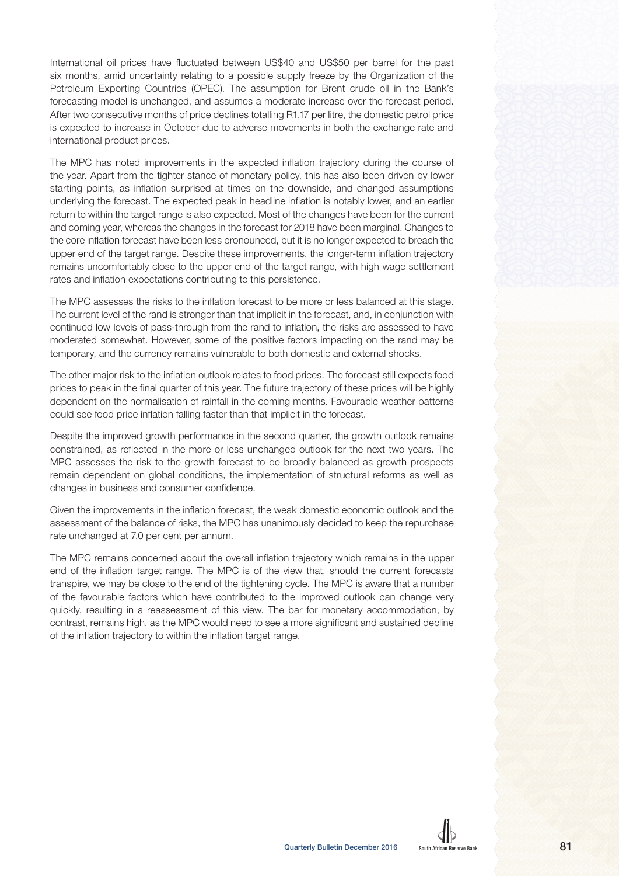International oil prices have fluctuated between US\$40 and US\$50 per barrel for the past six months, amid uncertainty relating to a possible supply freeze by the Organization of the Petroleum Exporting Countries (OPEC). The assumption for Brent crude oil in the Bank's forecasting model is unchanged, and assumes a moderate increase over the forecast period. After two consecutive months of price declines totalling R1,17 per litre, the domestic petrol price is expected to increase in October due to adverse movements in both the exchange rate and international product prices.

The MPC has noted improvements in the expected inflation trajectory during the course of the year. Apart from the tighter stance of monetary policy, this has also been driven by lower starting points, as inflation surprised at times on the downside, and changed assumptions underlying the forecast. The expected peak in headline inflation is notably lower, and an earlier return to within the target range is also expected. Most of the changes have been for the current and coming year, whereas the changes in the forecast for 2018 have been marginal. Changes to the core inflation forecast have been less pronounced, but it is no longer expected to breach the upper end of the target range. Despite these improvements, the longer-term inflation trajectory remains uncomfortably close to the upper end of the target range, with high wage settlement rates and inflation expectations contributing to this persistence.

The MPC assesses the risks to the inflation forecast to be more or less balanced at this stage. The current level of the rand is stronger than that implicit in the forecast, and, in conjunction with continued low levels of pass-through from the rand to inflation, the risks are assessed to have moderated somewhat. However, some of the positive factors impacting on the rand may be temporary, and the currency remains vulnerable to both domestic and external shocks.

The other major risk to the inflation outlook relates to food prices. The forecast still expects food prices to peak in the final quarter of this year. The future trajectory of these prices will be highly dependent on the normalisation of rainfall in the coming months. Favourable weather patterns could see food price inflation falling faster than that implicit in the forecast.

Despite the improved growth performance in the second quarter, the growth outlook remains constrained, as reflected in the more or less unchanged outlook for the next two years. The MPC assesses the risk to the growth forecast to be broadly balanced as growth prospects remain dependent on global conditions, the implementation of structural reforms as well as changes in business and consumer confidence.

Given the improvements in the inflation forecast, the weak domestic economic outlook and the assessment of the balance of risks, the MPC has unanimously decided to keep the repurchase rate unchanged at 7,0 per cent per annum.

The MPC remains concerned about the overall inflation trajectory which remains in the upper end of the inflation target range. The MPC is of the view that, should the current forecasts transpire, we may be close to the end of the tightening cycle. The MPC is aware that a number of the favourable factors which have contributed to the improved outlook can change very quickly, resulting in a reassessment of this view. The bar for monetary accommodation, by contrast, remains high, as the MPC would need to see a more significant and sustained decline of the inflation trajectory to within the inflation target range.

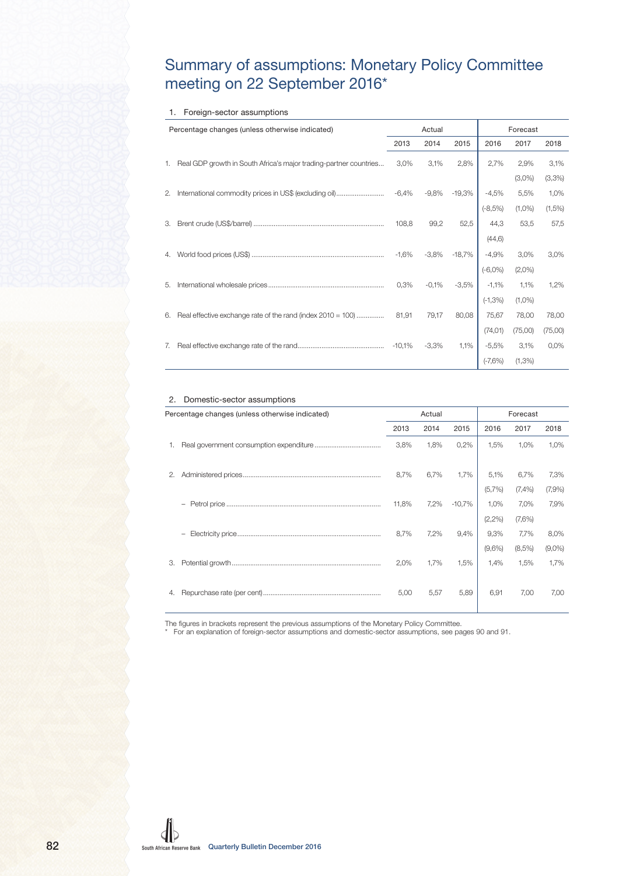## Summary of assumptions: Monetary Policy Committee meeting on 22 September 2016\*

#### 1. Foreign-sector assumptions

|    | Percentage changes (unless otherwise indicated)                   |      | Actual |         |      | Forecast  |         |
|----|-------------------------------------------------------------------|------|--------|---------|------|-----------|---------|
|    |                                                                   | 2013 | 2014   | 2015    | 2016 | 2017      | 2018    |
| 1. | Real GDP growth in South Africa's major trading-partner countries | 3,0% | 3,1%   | $2,8\%$ |      | 2,7% 2,9% | 3,1%    |
|    |                                                                   |      |        |         |      | $(3,0\%)$ | (3,3% ) |
|    |                                                                   |      |        |         |      |           |         |
|    |                                                                   |      |        |         |      |           |         |
|    |                                                                   |      |        |         |      |           |         |
|    |                                                                   |      |        |         |      |           |         |
|    |                                                                   |      |        |         |      |           |         |
|    |                                                                   |      |        |         |      |           |         |
|    |                                                                   |      |        |         |      |           |         |
|    |                                                                   |      |        |         |      |           |         |
| 6. |                                                                   |      |        |         |      |           |         |
|    |                                                                   |      |        |         |      |           |         |
| 7. |                                                                   |      |        |         |      |           |         |
|    |                                                                   |      |        |         |      |           |         |

#### 2. Domestic-sector assumptions

|    | Percentage changes (unless otherwise indicated) |       | Actual |      |                                                                                                                                                                                                                                                  | Forecast |      |
|----|-------------------------------------------------|-------|--------|------|--------------------------------------------------------------------------------------------------------------------------------------------------------------------------------------------------------------------------------------------------|----------|------|
|    |                                                 | 2013  | 2014   | 2015 | 2016                                                                                                                                                                                                                                             | 2017     | 2018 |
| 1. |                                                 | 3,8%  | 1,8%   | 0,2% | 1,5%                                                                                                                                                                                                                                             | 1,0%     | 1,0% |
|    |                                                 | 8,7%  |        |      |                                                                                                                                                                                                                                                  |          |      |
|    |                                                 |       |        |      |                                                                                                                                                                                                                                                  |          |      |
|    |                                                 | 11,8% |        |      |                                                                                                                                                                                                                                                  |          |      |
|    |                                                 |       |        |      |                                                                                                                                                                                                                                                  |          |      |
|    |                                                 | 8,7%  |        |      |                                                                                                                                                                                                                                                  |          |      |
|    |                                                 |       |        |      |                                                                                                                                                                                                                                                  |          |      |
| 3. |                                                 | 2,0%  |        |      | $\begin{array}{c cccc} 6,7\% & 1,7\% & 5,1\% & 6,7\% & 7,3\% \\ & & & & & \\ 7,2\% & -10,7\% & 1,0\% & 7,0\% & 7,9\% \\ & & & & & \\ 7,2\% & 9,4\% & 9,3\% & 7,7\% & 8,0\% \\ & & & & & \\ 1,7\% & 1,5\% & 1,4\% & 1,5\% & 1,7\% \\ \end{array}$ |          |      |
|    |                                                 | 5,00  | 5,57   | 5,89 | 6,91                                                                                                                                                                                                                                             | 7,00     | 7,00 |

The figures in brackets represent the previous assumptions of the Monetary Policy Committee.

\* For an explanation of foreign-sector assumptions and domestic-sector assumptions, see pages 90 and 91.